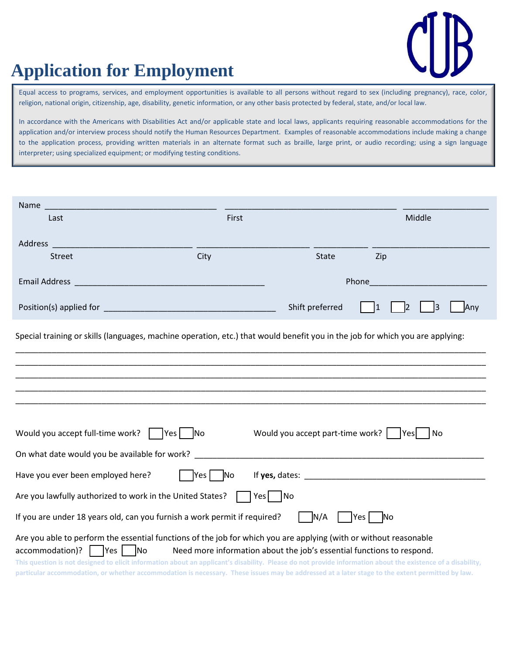

## **Application for Employment**

Equal access to programs, services, and employment opportunities is available to all persons without regard to sex (including pregnancy), race, color, religion, national origin, citizenship, age, disability, genetic information, or any other basis protected by federal, state, and/or local law.

In accordance with the Americans with Disabilities Act and/or applicable state and local laws, applicants requiring reasonable accommodations for the application and/or interview process should notify the Human Resources Department. Examples of reasonable accommodations include making a change to the application process, providing written materials in an alternate format such as braille, large print, or audio recording; using a sign language interpreter; using specialized equipment; or modifying testing conditions.

| Name                                                      |                                                                                                                                                                                                                                                                                                                                                                                                                                                  |                                                                                                                 |                         |  |  |
|-----------------------------------------------------------|--------------------------------------------------------------------------------------------------------------------------------------------------------------------------------------------------------------------------------------------------------------------------------------------------------------------------------------------------------------------------------------------------------------------------------------------------|-----------------------------------------------------------------------------------------------------------------|-------------------------|--|--|
| Last                                                      | First                                                                                                                                                                                                                                                                                                                                                                                                                                            |                                                                                                                 | Middle                  |  |  |
| Address                                                   |                                                                                                                                                                                                                                                                                                                                                                                                                                                  |                                                                                                                 |                         |  |  |
| <b>Street</b>                                             | City                                                                                                                                                                                                                                                                                                                                                                                                                                             | <b>State</b>                                                                                                    | Zip                     |  |  |
| Email Address                                             |                                                                                                                                                                                                                                                                                                                                                                                                                                                  | Phone                                                                                                           |                         |  |  |
|                                                           |                                                                                                                                                                                                                                                                                                                                                                                                                                                  | Shift preferred                                                                                                 | 13<br>Any               |  |  |
|                                                           | Special training or skills (languages, machine operation, etc.) that would benefit you in the job for which you are applying:                                                                                                                                                                                                                                                                                                                    |                                                                                                                 |                         |  |  |
|                                                           |                                                                                                                                                                                                                                                                                                                                                                                                                                                  |                                                                                                                 |                         |  |  |
|                                                           |                                                                                                                                                                                                                                                                                                                                                                                                                                                  |                                                                                                                 |                         |  |  |
|                                                           |                                                                                                                                                                                                                                                                                                                                                                                                                                                  |                                                                                                                 |                         |  |  |
|                                                           |                                                                                                                                                                                                                                                                                                                                                                                                                                                  |                                                                                                                 |                         |  |  |
| Would you accept full-time work?                          | $ Yes $ No                                                                                                                                                                                                                                                                                                                                                                                                                                       | Would you accept part-time work?                                                                                | No<br><b>IYes</b>       |  |  |
| On what date would you be available for work? ___         |                                                                                                                                                                                                                                                                                                                                                                                                                                                  |                                                                                                                 |                         |  |  |
| Have you ever been employed here?                         | Yes<br> No                                                                                                                                                                                                                                                                                                                                                                                                                                       | If yes, dates: Note that the same state of the state of the state of the state of the state of the state of the |                         |  |  |
| Are you lawfully authorized to work in the United States? |                                                                                                                                                                                                                                                                                                                                                                                                                                                  | Yes No                                                                                                          |                         |  |  |
|                                                           | If you are under 18 years old, can you furnish a work permit if required?                                                                                                                                                                                                                                                                                                                                                                        | N/A                                                                                                             | Yes  <br>N <sub>o</sub> |  |  |
| Yes<br>accommodation)?                                    | Are you able to perform the essential functions of the job for which you are applying (with or without reasonable<br><b>No</b><br>This question is not designed to elicit information about an applicant's disability. Please do not provide information about the existence of a disability,<br>particular accommodation, or whether accommodation is necessary. These issues may be addressed at a later stage to the extent permitted by law. | Need more information about the job's essential functions to respond.                                           |                         |  |  |